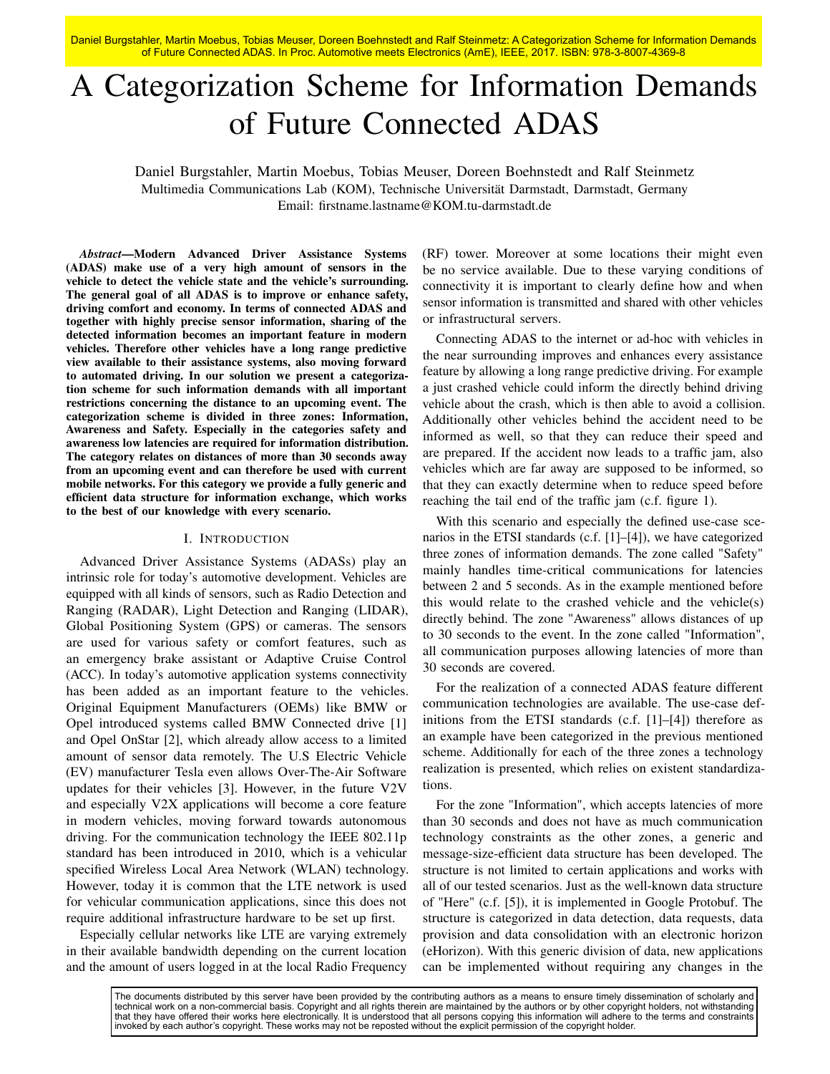Daniel Burgstahler, Martin Moebus, Tobias Meuser, Doreen Boehnstedt and Ralf Steinmetz: A Categorization Scheme for Information Demands of Future Connected ADAS. In Proc. Automotive meets Electronics (AmE), IEEE, 2017. ISBN: 978-3-8007-4369-8

# A Categorization Scheme for Information Demands of Future Connected ADAS

Daniel Burgstahler, Martin Moebus, Tobias Meuser, Doreen Boehnstedt and Ralf Steinmetz Multimedia Communications Lab (KOM), Technische Universität Darmstadt, Darmstadt, Germany Email: firstname.lastname@KOM.tu-darmstadt.de

*Abstract*—Modern Advanced Driver Assistance Systems (ADAS) make use of a very high amount of sensors in the vehicle to detect the vehicle state and the vehicle's surrounding. The general goal of all ADAS is to improve or enhance safety, driving comfort and economy. In terms of connected ADAS and together with highly precise sensor information, sharing of the detected information becomes an important feature in modern vehicles. Therefore other vehicles have a long range predictive view available to their assistance systems, also moving forward to automated driving. In our solution we present a categorization scheme for such information demands with all important restrictions concerning the distance to an upcoming event. The categorization scheme is divided in three zones: Information, Awareness and Safety. Especially in the categories safety and awareness low latencies are required for information distribution. The category relates on distances of more than 30 seconds away from an upcoming event and can therefore be used with current mobile networks. For this category we provide a fully generic and efficient data structure for information exchange, which works to the best of our knowledge with every scenario.

## I. INTRODUCTION

Advanced Driver Assistance Systems (ADASs) play an intrinsic role for today's automotive development. Vehicles are equipped with all kinds of sensors, such as Radio Detection and Ranging (RADAR), Light Detection and Ranging (LIDAR), Global Positioning System (GPS) or cameras. The sensors are used for various safety or comfort features, such as an emergency brake assistant or Adaptive Cruise Control (ACC). In today's automotive application systems connectivity has been added as an important feature to the vehicles. Original Equipment Manufacturers (OEMs) like BMW or Opel introduced systems called BMW Connected drive [1] and Opel OnStar [2], which already allow access to a limited amount of sensor data remotely. The U.S Electric Vehicle (EV) manufacturer Tesla even allows Over-The-Air Software updates for their vehicles [3]. However, in the future V2V and especially V2X applications will become a core feature in modern vehicles, moving forward towards autonomous driving. For the communication technology the IEEE 802.11p standard has been introduced in 2010, which is a vehicular specified Wireless Local Area Network (WLAN) technology. However, today it is common that the LTE network is used for vehicular communication applications, since this does not require additional infrastructure hardware to be set up first.

Especially cellular networks like LTE are varying extremely in their available bandwidth depending on the current location and the amount of users logged in at the local Radio Frequency (RF) tower. Moreover at some locations their might even be no service available. Due to these varying conditions of connectivity it is important to clearly define how and when sensor information is transmitted and shared with other vehicles or infrastructural servers.

Connecting ADAS to the internet or ad-hoc with vehicles in the near surrounding improves and enhances every assistance feature by allowing a long range predictive driving. For example a just crashed vehicle could inform the directly behind driving vehicle about the crash, which is then able to avoid a collision. Additionally other vehicles behind the accident need to be informed as well, so that they can reduce their speed and are prepared. If the accident now leads to a traffic jam, also vehicles which are far away are supposed to be informed, so that they can exactly determine when to reduce speed before reaching the tail end of the traffic jam (c.f. figure [1\)](#page-1-0).

With this scenario and especially the defined use-case scenarios in the ETSI standards (c.f. [\[1\]](#page-4-0)–[\[4\]](#page-4-1)), we have categorized three zones of information demands. The zone called "Safety" mainly handles time-critical communications for latencies between 2 and 5 seconds. As in the example mentioned before this would relate to the crashed vehicle and the vehicle(s) directly behind. The zone "Awareness" allows distances of up to 30 seconds to the event. In the zone called "Information", all communication purposes allowing latencies of more than 30 seconds are covered.

For the realization of a connected ADAS feature different communication technologies are available. The use-case definitions from the ETSI standards (c.f. [\[1\]](#page-4-0)–[\[4\]](#page-4-1)) therefore as an example have been categorized in the previous mentioned scheme. Additionally for each of the three zones a technology realization is presented, which relies on existent standardizations.

For the zone "Information", which accepts latencies of more than 30 seconds and does not have as much communication technology constraints as the other zones, a generic and message-size-efficient data structure has been developed. The structure is not limited to certain applications and works with all of our tested scenarios. Just as the well-known data structure of "Here" (c.f. [\[5\]](#page-4-2)), it is implemented in Google Protobuf. The structure is categorized in data detection, data requests, data provision and data consolidation with an electronic horizon (eHorizon). With this generic division of data, new applications can be implemented without requiring any changes in the

The documents distributed by this server have been provided by the contributing authors as a means to ensure timely dissemination of scholarly and technical work on a non-commercial basis. Copyright and all rights therein are maintained by the authors or by other copyright holders, not withstanding that they have offered their works here electronically. It is understood that all persons copying this information will adhere to the terms and constraints invoked by each author's copyright. These works may not be reposted without the explicit permission of the copyright holder.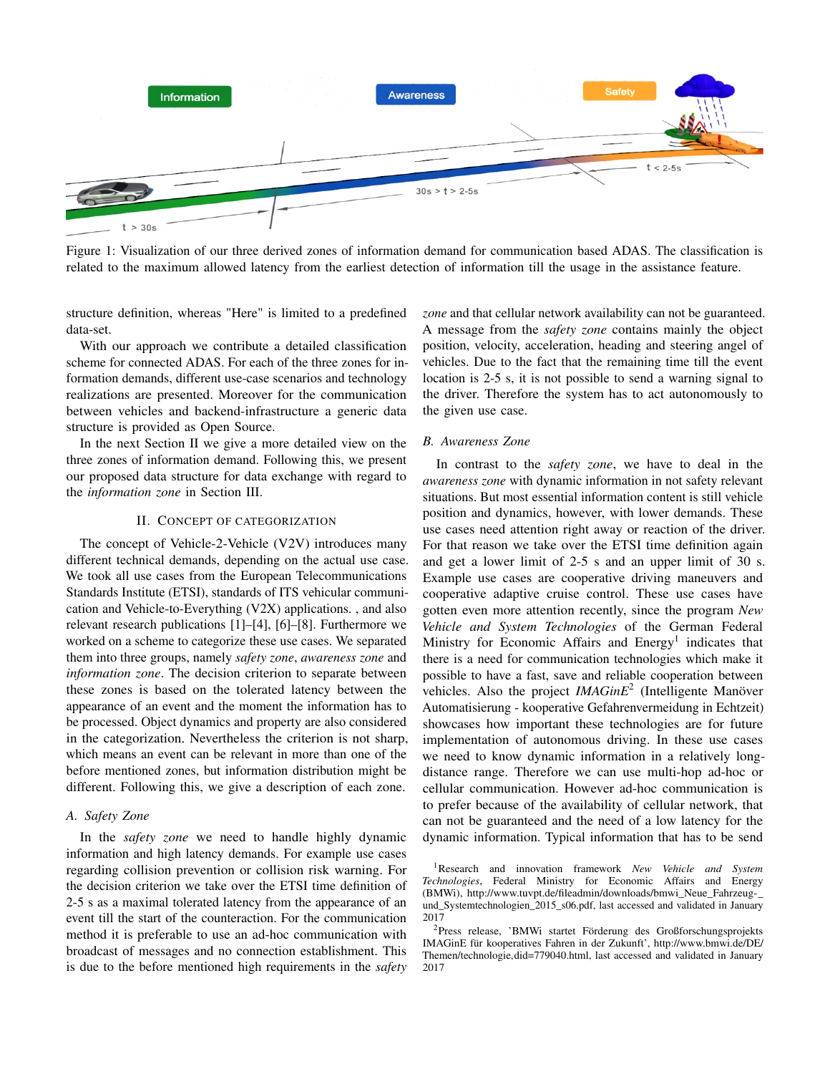<span id="page-1-0"></span>

Figure 1: Visualization of our three derived zones of information demand for communication based ADAS. The classification is related to the maximum allowed latency from the earliest detection of information till the usage in the assistance feature.

structure definition, whereas "Here" is limited to a predefined data-set.

With our approach we contribute a detailed classification scheme for connected ADAS. For each of the three zones for information demands, different use-case scenarios and technology realizations are presented. Moreover for the communication between vehicles and backend-infrastructure a generic data structure is provided as Open Source.

In the next Section [II](#page-1-1) we give a more detailed view on the three zones of information demand. Following this, we present our proposed data structure for data exchange with regard to the *information zone* in Section [III.](#page-2-0)

## II. CONCEPT OF CATEGORIZATION

<span id="page-1-1"></span>The concept of Vehicle-2-Vehicle (V2V) introduces many different technical demands, depending on the actual use case. We took all use cases from the European Telecommunications Standards Institute (ETSI), standards of ITS vehicular communication and Vehicle-to-Everything (V2X) applications. , and also relevant research publications [\[1\]](#page-4-0)–[\[4\]](#page-4-1), [\[6\]](#page-4-3)–[\[8\]](#page-4-4). Furthermore we worked on a scheme to categorize these use cases. We separated them into three groups, namely *safety zone*, *awareness zone* and *information zone*. The decision criterion to separate between these zones is based on the tolerated latency between the appearance of an event and the moment the information has to be processed. Object dynamics and property are also considered in the categorization. Nevertheless the criterion is not sharp, which means an event can be relevant in more than one of the before mentioned zones, but information distribution might be different. Following this, we give a description of each zone.

#### *A. Safety Zone*

In the *safety zone* we need to handle highly dynamic information and high latency demands. For example use cases regarding collision prevention or collision risk warning. For the decision criterion we take over the ETSI time definition of 2-5 s as a maximal tolerated latency from the appearance of an event till the start of the counteraction. For the communication method it is preferable to use an ad-hoc communication with broadcast of messages and no connection establishment. This is due to the before mentioned high requirements in the *safety*

*zone* and that cellular network availability can not be guaranteed. A message from the *safety zone* contains mainly the object position, velocity, acceleration, heading and steering angel of vehicles. Due to the fact that the remaining time till the event location is 2-5 s, it is not possible to send a warning signal to the driver. Therefore the system has to act autonomously to the given use case.

#### *B. Awareness Zone*

In contrast to the *safety zone*, we have to deal in the *awareness zone* with dynamic information in not safety relevant situations. But most essential information content is still vehicle position and dynamics, however, with lower demands. These use cases need attention right away or reaction of the driver. For that reason we take over the ETSI time definition again and get a lower limit of 2-5 s and an upper limit of 30 s. Example use cases are cooperative driving maneuvers and cooperative adaptive cruise control. These use cases have gotten even more attention recently, since the program *New Vehicle and System Technologies* of the German Federal Ministry for Economic Affairs and  $Energy<sup>1</sup>$  $Energy<sup>1</sup>$  $Energy<sup>1</sup>$  indicates that there is a need for communication technologies which make it possible to have a fast, save and reliable cooperation between vehicles. Also the project *IMAGinE*[2](#page-1-3) (Intelligente Manöver Automatisierung - kooperative Gefahrenvermeidung in Echtzeit) showcases how important these technologies are for future implementation of autonomous driving. In these use cases we need to know dynamic information in a relatively longdistance range. Therefore we can use multi-hop ad-hoc or cellular communication. However ad-hoc communication is to prefer because of the availability of cellular network, that can not be guaranteed and the need of a low latency for the dynamic information. Typical information that has to be send

<span id="page-1-2"></span><sup>1</sup>Research and innovation framework *New Vehicle and System Technologies*, Federal Ministry for Economic Affairs and Energy (BMWi), [http://www.tuvpt.de/fileadmin/downloads/bmwi\\_Neue\\_Fahrzeug-\\_](http://www.tuvpt.de/fileadmin/downloads/bmwi_Neue_Fahrzeug-_und_Systemtechnologien_2015_s06.pdf) [und\\_Systemtechnologien\\_2015\\_s06.pdf,](http://www.tuvpt.de/fileadmin/downloads/bmwi_Neue_Fahrzeug-_und_Systemtechnologien_2015_s06.pdf) last accessed and validated in January

<span id="page-1-3"></span><sup>&</sup>lt;sup>2</sup>Press release, 'BMWi startet Förderung des Großforschungsprojekts IMAGinE für kooperatives Fahren in der Zukunft', [http://www.bmwi.de/DE/](http://www.bmwi.de/DE/Themen/technologie,did=779040.html) [Themen/technologie,did=779040.html,](http://www.bmwi.de/DE/Themen/technologie,did=779040.html) last accessed and validated in January 2017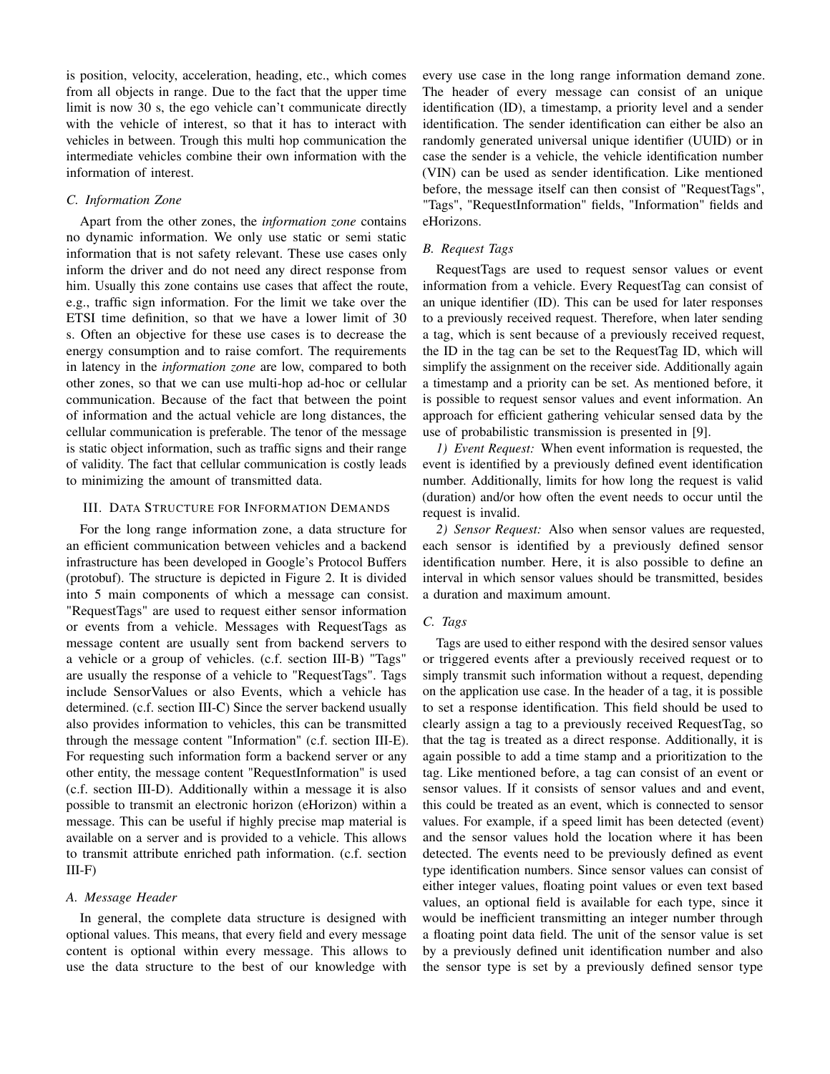is position, velocity, acceleration, heading, etc., which comes from all objects in range. Due to the fact that the upper time limit is now 30 s, the ego vehicle can't communicate directly with the vehicle of interest, so that it has to interact with vehicles in between. Trough this multi hop communication the intermediate vehicles combine their own information with the information of interest.

## *C. Information Zone*

Apart from the other zones, the *information zone* contains no dynamic information. We only use static or semi static information that is not safety relevant. These use cases only inform the driver and do not need any direct response from him. Usually this zone contains use cases that affect the route, e.g., traffic sign information. For the limit we take over the ETSI time definition, so that we have a lower limit of 30 s. Often an objective for these use cases is to decrease the energy consumption and to raise comfort. The requirements in latency in the *information zone* are low, compared to both other zones, so that we can use multi-hop ad-hoc or cellular communication. Because of the fact that between the point of information and the actual vehicle are long distances, the cellular communication is preferable. The tenor of the message is static object information, such as traffic signs and their range of validity. The fact that cellular communication is costly leads to minimizing the amount of transmitted data.

## <span id="page-2-0"></span>III. DATA STRUCTURE FOR INFORMATION DEMANDS

For the long range information zone, a data structure for an efficient communication between vehicles and a backend infrastructure has been developed in Google's Protocol Buffers (protobuf). The structure is depicted in Figure [2.](#page-5-0) It is divided into 5 main components of which a message can consist. "RequestTags" are used to request either sensor information or events from a vehicle. Messages with RequestTags as message content are usually sent from backend servers to a vehicle or a group of vehicles. (c.f. section [III-B\)](#page-2-1) "Tags" are usually the response of a vehicle to "RequestTags". Tags include SensorValues or also Events, which a vehicle has determined. (c.f. section [III-C\)](#page-2-2) Since the server backend usually also provides information to vehicles, this can be transmitted through the message content "Information" (c.f. section [III-E\)](#page-3-0). For requesting such information form a backend server or any other entity, the message content "RequestInformation" is used (c.f. section [III-D\)](#page-3-1). Additionally within a message it is also possible to transmit an electronic horizon (eHorizon) within a message. This can be useful if highly precise map material is available on a server and is provided to a vehicle. This allows to transmit attribute enriched path information. (c.f. section  $III-F)$ 

#### *A. Message Header*

In general, the complete data structure is designed with optional values. This means, that every field and every message content is optional within every message. This allows to use the data structure to the best of our knowledge with

every use case in the long range information demand zone. The header of every message can consist of an unique identification (ID), a timestamp, a priority level and a sender identification. The sender identification can either be also an randomly generated universal unique identifier (UUID) or in case the sender is a vehicle, the vehicle identification number (VIN) can be used as sender identification. Like mentioned before, the message itself can then consist of "RequestTags", "Tags", "RequestInformation" fields, "Information" fields and eHorizons.

### <span id="page-2-1"></span>*B. Request Tags*

RequestTags are used to request sensor values or event information from a vehicle. Every RequestTag can consist of an unique identifier (ID). This can be used for later responses to a previously received request. Therefore, when later sending a tag, which is sent because of a previously received request, the ID in the tag can be set to the RequestTag ID, which will simplify the assignment on the receiver side. Additionally again a timestamp and a priority can be set. As mentioned before, it is possible to request sensor values and event information. An approach for efficient gathering vehicular sensed data by the use of probabilistic transmission is presented in [\[9\]](#page-4-5).

*1) Event Request:* When event information is requested, the event is identified by a previously defined event identification number. Additionally, limits for how long the request is valid (duration) and/or how often the event needs to occur until the request is invalid.

*2) Sensor Request:* Also when sensor values are requested, each sensor is identified by a previously defined sensor identification number. Here, it is also possible to define an interval in which sensor values should be transmitted, besides a duration and maximum amount.

## <span id="page-2-2"></span>*C. Tags*

Tags are used to either respond with the desired sensor values or triggered events after a previously received request or to simply transmit such information without a request, depending on the application use case. In the header of a tag, it is possible to set a response identification. This field should be used to clearly assign a tag to a previously received RequestTag, so that the tag is treated as a direct response. Additionally, it is again possible to add a time stamp and a prioritization to the tag. Like mentioned before, a tag can consist of an event or sensor values. If it consists of sensor values and and event, this could be treated as an event, which is connected to sensor values. For example, if a speed limit has been detected (event) and the sensor values hold the location where it has been detected. The events need to be previously defined as event type identification numbers. Since sensor values can consist of either integer values, floating point values or even text based values, an optional field is available for each type, since it would be inefficient transmitting an integer number through a floating point data field. The unit of the sensor value is set by a previously defined unit identification number and also the sensor type is set by a previously defined sensor type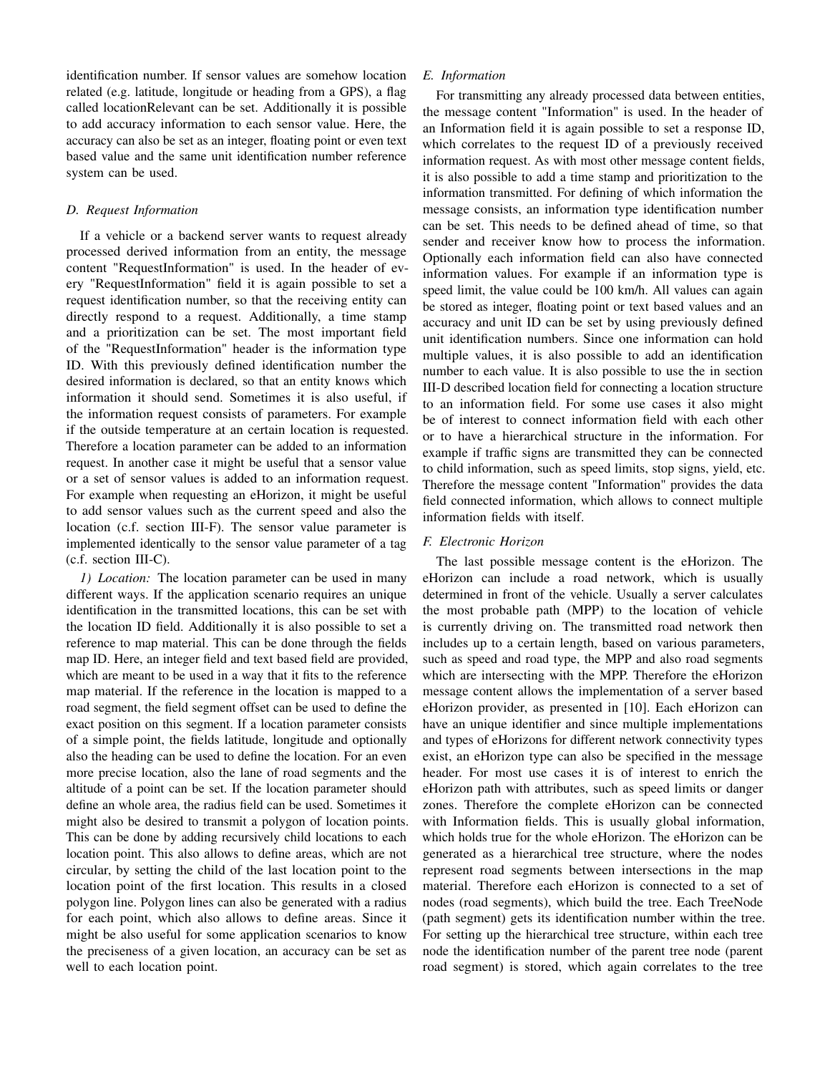identification number. If sensor values are somehow location related (e.g. latitude, longitude or heading from a GPS), a flag called locationRelevant can be set. Additionally it is possible to add accuracy information to each sensor value. Here, the accuracy can also be set as an integer, floating point or even text based value and the same unit identification number reference system can be used.

## <span id="page-3-1"></span>*D. Request Information*

If a vehicle or a backend server wants to request already processed derived information from an entity, the message content "RequestInformation" is used. In the header of every "RequestInformation" field it is again possible to set a request identification number, so that the receiving entity can directly respond to a request. Additionally, a time stamp and a prioritization can be set. The most important field of the "RequestInformation" header is the information type ID. With this previously defined identification number the desired information is declared, so that an entity knows which information it should send. Sometimes it is also useful, if the information request consists of parameters. For example if the outside temperature at an certain location is requested. Therefore a location parameter can be added to an information request. In another case it might be useful that a sensor value or a set of sensor values is added to an information request. For example when requesting an eHorizon, it might be useful to add sensor values such as the current speed and also the location (c.f. section [III-F\)](#page-3-2). The sensor value parameter is implemented identically to the sensor value parameter of a tag (c.f. section [III-C\)](#page-2-2).

*1) Location:* The location parameter can be used in many different ways. If the application scenario requires an unique identification in the transmitted locations, this can be set with the location ID field. Additionally it is also possible to set a reference to map material. This can be done through the fields map ID. Here, an integer field and text based field are provided, which are meant to be used in a way that it fits to the reference map material. If the reference in the location is mapped to a road segment, the field segment offset can be used to define the exact position on this segment. If a location parameter consists of a simple point, the fields latitude, longitude and optionally also the heading can be used to define the location. For an even more precise location, also the lane of road segments and the altitude of a point can be set. If the location parameter should define an whole area, the radius field can be used. Sometimes it might also be desired to transmit a polygon of location points. This can be done by adding recursively child locations to each location point. This also allows to define areas, which are not circular, by setting the child of the last location point to the location point of the first location. This results in a closed polygon line. Polygon lines can also be generated with a radius for each point, which also allows to define areas. Since it might be also useful for some application scenarios to know the preciseness of a given location, an accuracy can be set as well to each location point.

# <span id="page-3-0"></span>*E. Information*

For transmitting any already processed data between entities, the message content "Information" is used. In the header of an Information field it is again possible to set a response ID, which correlates to the request ID of a previously received information request. As with most other message content fields, it is also possible to add a time stamp and prioritization to the information transmitted. For defining of which information the message consists, an information type identification number can be set. This needs to be defined ahead of time, so that sender and receiver know how to process the information. Optionally each information field can also have connected information values. For example if an information type is speed limit, the value could be 100 km/h. All values can again be stored as integer, floating point or text based values and an accuracy and unit ID can be set by using previously defined unit identification numbers. Since one information can hold multiple values, it is also possible to add an identification number to each value. It is also possible to use the in section [III-D](#page-3-1) described location field for connecting a location structure to an information field. For some use cases it also might be of interest to connect information field with each other or to have a hierarchical structure in the information. For example if traffic signs are transmitted they can be connected to child information, such as speed limits, stop signs, yield, etc. Therefore the message content "Information" provides the data field connected information, which allows to connect multiple information fields with itself.

# <span id="page-3-2"></span>*F. Electronic Horizon*

The last possible message content is the eHorizon. The eHorizon can include a road network, which is usually determined in front of the vehicle. Usually a server calculates the most probable path (MPP) to the location of vehicle is currently driving on. The transmitted road network then includes up to a certain length, based on various parameters, such as speed and road type, the MPP and also road segments which are intersecting with the MPP. Therefore the eHorizon message content allows the implementation of a server based eHorizon provider, as presented in [\[10\]](#page-4-6). Each eHorizon can have an unique identifier and since multiple implementations and types of eHorizons for different network connectivity types exist, an eHorizon type can also be specified in the message header. For most use cases it is of interest to enrich the eHorizon path with attributes, such as speed limits or danger zones. Therefore the complete eHorizon can be connected with Information fields. This is usually global information, which holds true for the whole eHorizon. The eHorizon can be generated as a hierarchical tree structure, where the nodes represent road segments between intersections in the map material. Therefore each eHorizon is connected to a set of nodes (road segments), which build the tree. Each TreeNode (path segment) gets its identification number within the tree. For setting up the hierarchical tree structure, within each tree node the identification number of the parent tree node (parent road segment) is stored, which again correlates to the tree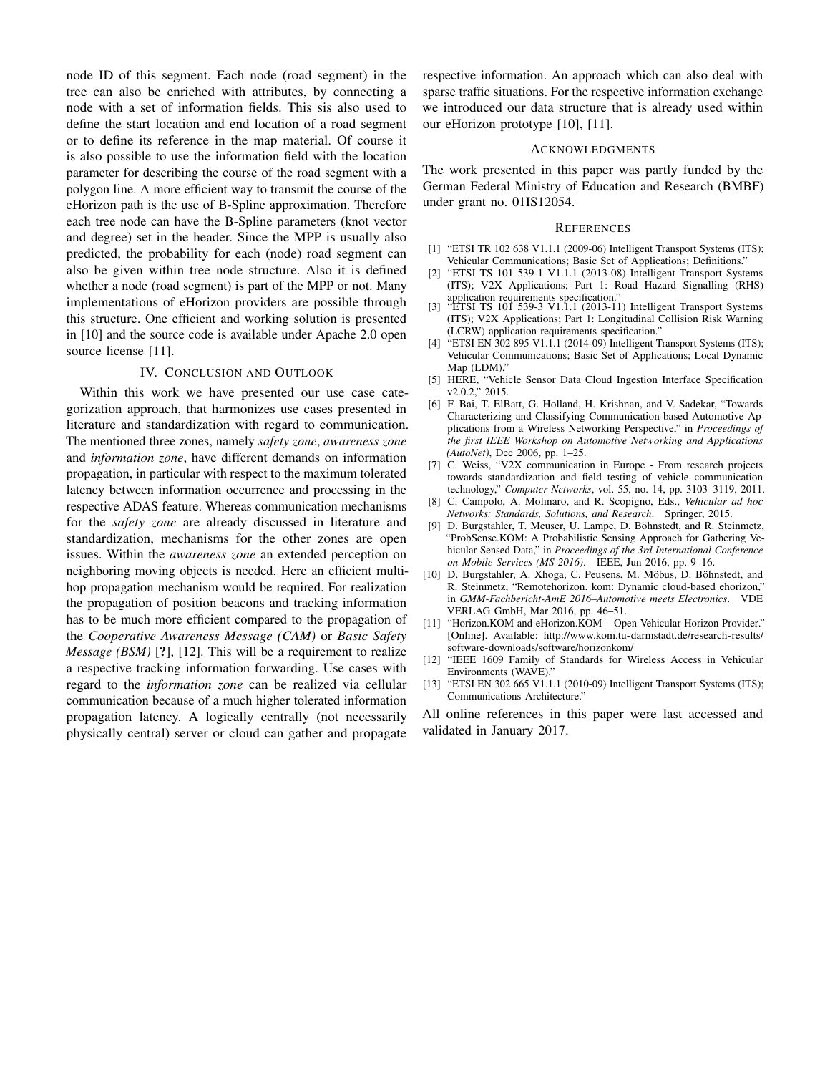node ID of this segment. Each node (road segment) in the tree can also be enriched with attributes, by connecting a node with a set of information fields. This sis also used to define the start location and end location of a road segment or to define its reference in the map material. Of course it is also possible to use the information field with the location parameter for describing the course of the road segment with a polygon line. A more efficient way to transmit the course of the eHorizon path is the use of B-Spline approximation. Therefore each tree node can have the B-Spline parameters (knot vector and degree) set in the header. Since the MPP is usually also predicted, the probability for each (node) road segment can also be given within tree node structure. Also it is defined whether a node (road segment) is part of the MPP or not. Many implementations of eHorizon providers are possible through this structure. One efficient and working solution is presented in [\[10\]](#page-4-6) and the source code is available under Apache 2.0 open source license [\[11\]](#page-4-7).

# IV. CONCLUSION AND OUTLOOK

Within this work we have presented our use case categorization approach, that harmonizes use cases presented in literature and standardization with regard to communication. The mentioned three zones, namely *safety zone*, *awareness zone* and *information zone*, have different demands on information propagation, in particular with respect to the maximum tolerated latency between information occurrence and processing in the respective ADAS feature. Whereas communication mechanisms for the *safety zone* are already discussed in literature and standardization, mechanisms for the other zones are open issues. Within the *awareness zone* an extended perception on neighboring moving objects is needed. Here an efficient multihop propagation mechanism would be required. For realization the propagation of position beacons and tracking information has to be much more efficient compared to the propagation of the *Cooperative Awareness Message (CAM)* or *Basic Safety Message (BSM)* [?], [\[12\]](#page-4-8). This will be a requirement to realize a respective tracking information forwarding. Use cases with regard to the *information zone* can be realized via cellular communication because of a much higher tolerated information propagation latency. A logically centrally (not necessarily physically central) server or cloud can gather and propagate

respective information. An approach which can also deal with sparse traffic situations. For the respective information exchange we introduced our data structure that is already used within our eHorizon prototype [\[10\]](#page-4-6), [\[11\]](#page-4-7).

#### ACKNOWLEDGMENTS

The work presented in this paper was partly funded by the German Federal Ministry of Education and Research (BMBF) under grant no. 01IS12054.

#### **REFERENCES**

- <span id="page-4-0"></span>[1] "ETSI TR 102 638 V1.1.1 (2009-06) Intelligent Transport Systems (ITS); Vehicular Communications; Basic Set of Applications; Definitions."
- [2] "ETSI TS 101 539-1 V1.1.1 (2013-08) Intelligent Transport Systems (ITS); V2X Applications; Part 1: Road Hazard Signalling (RHS)
- application requirements specification." [3] "ETSI TS 101 539-3 V1.1.1 (2013-11) Intelligent Transport Systems (ITS); V2X Applications; Part 1: Longitudinal Collision Risk Warning (LCRW) application requirements specification."
- <span id="page-4-1"></span>[4] "ETSI EN 302 895 V1.1.1 (2014-09) Intelligent Transport Systems (ITS); Vehicular Communications; Basic Set of Applications; Local Dynamic Map (LDM)."
- <span id="page-4-2"></span>[5] HERE, "Vehicle Sensor Data Cloud Ingestion Interface Specification  $v2.0.2$ ,  $v2.015$ .
- <span id="page-4-3"></span>[6] F. Bai, T. ElBatt, G. Holland, H. Krishnan, and V. Sadekar, "Towards Characterizing and Classifying Communication-based Automotive Applications from a Wireless Networking Perspective," in *Proceedings of the first IEEE Workshop on Automotive Networking and Applications (AutoNet)*, Dec 2006, pp. 1–25.
- [7] C. Weiss, "V2X communication in Europe From research projects towards standardization and field testing of vehicle communication technology," *Computer Networks*, vol. 55, no. 14, pp. 3103–3119, 2011.
- <span id="page-4-4"></span>[8] C. Campolo, A. Molinaro, and R. Scopigno, Eds., *Vehicular ad hoc Networks: Standards, Solutions, and Research*. Springer, 2015.
- <span id="page-4-5"></span>[9] D. Burgstahler, T. Meuser, U. Lampe, D. Böhnstedt, and R. Steinmetz, "ProbSense.KOM: A Probabilistic Sensing Approach for Gathering Vehicular Sensed Data," in *Proceedings of the 3rd International Conference on Mobile Services (MS 2016)*. IEEE, Jun 2016, pp. 9–16.
- <span id="page-4-6"></span>[10] D. Burgstahler, A. Xhoga, C. Peusens, M. Möbus, D. Böhnstedt, and R. Steinmetz, "Remotehorizon. kom: Dynamic cloud-based ehorizon," in *GMM-Fachbericht-AmE 2016–Automotive meets Electronics*. VDE VERLAG GmbH, Mar 2016, pp. 46–51.
- <span id="page-4-7"></span>[11] "Horizon.KOM and eHorizon.KOM – Open Vehicular Horizon Provider." [Online]. Available: [http://www.kom.tu-darmstadt.de/research-results/](http://www.kom.tu-darmstadt.de/research-results/software-downloads/software/horizonkom/) [software-downloads/software/horizonkom/](http://www.kom.tu-darmstadt.de/research-results/software-downloads/software/horizonkom/)
- <span id="page-4-8"></span>[12] "IEEE 1609 Family of Standards for Wireless Access in Vehicular Environments (WAVE)."
- [13] "ETSI EN 302 665 V1.1.1 (2010-09) Intelligent Transport Systems (ITS); Communications Architecture."

All online references in this paper were last accessed and validated in January 2017.